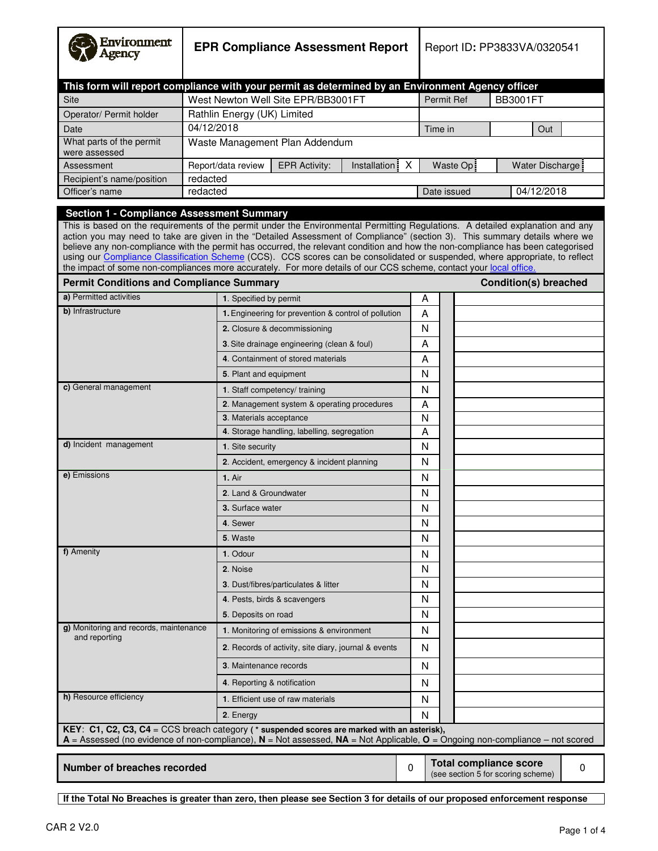| Environment<br>Agency                                                                                                                                                                                                                  | <b>EPR Compliance Assessment Report</b> |                                                                                                                                                                                                                                                                                                                                                                                                                                                                                                                                                                                                                                                        |                 | Report ID: PP3833VA/0320541                                                        |         |             |  |                              |                  |  |
|----------------------------------------------------------------------------------------------------------------------------------------------------------------------------------------------------------------------------------------|-----------------------------------------|--------------------------------------------------------------------------------------------------------------------------------------------------------------------------------------------------------------------------------------------------------------------------------------------------------------------------------------------------------------------------------------------------------------------------------------------------------------------------------------------------------------------------------------------------------------------------------------------------------------------------------------------------------|-----------------|------------------------------------------------------------------------------------|---------|-------------|--|------------------------------|------------------|--|
|                                                                                                                                                                                                                                        |                                         | This form will report compliance with your permit as determined by an Environment Agency officer                                                                                                                                                                                                                                                                                                                                                                                                                                                                                                                                                       |                 |                                                                                    |         |             |  |                              |                  |  |
| <b>Site</b>                                                                                                                                                                                                                            |                                         | West Newton Well Site EPR/BB3001FT                                                                                                                                                                                                                                                                                                                                                                                                                                                                                                                                                                                                                     |                 |                                                                                    |         | Permit Ref  |  | <b>BB3001FT</b>              |                  |  |
| Operator/ Permit holder                                                                                                                                                                                                                |                                         | Rathlin Energy (UK) Limited                                                                                                                                                                                                                                                                                                                                                                                                                                                                                                                                                                                                                            |                 |                                                                                    |         |             |  |                              |                  |  |
| Date                                                                                                                                                                                                                                   | 04/12/2018                              |                                                                                                                                                                                                                                                                                                                                                                                                                                                                                                                                                                                                                                                        |                 |                                                                                    | Time in |             |  |                              | Out              |  |
| What parts of the permit<br>were assessed                                                                                                                                                                                              |                                         | Waste Management Plan Addendum                                                                                                                                                                                                                                                                                                                                                                                                                                                                                                                                                                                                                         |                 |                                                                                    |         |             |  |                              |                  |  |
| Assessment                                                                                                                                                                                                                             |                                         | Report/data review<br><b>EPR Activity:</b>                                                                                                                                                                                                                                                                                                                                                                                                                                                                                                                                                                                                             | Installation: X |                                                                                    |         | Waste Op:   |  |                              | Water Discharge: |  |
| Recipient's name/position                                                                                                                                                                                                              | redacted                                |                                                                                                                                                                                                                                                                                                                                                                                                                                                                                                                                                                                                                                                        |                 |                                                                                    |         |             |  |                              |                  |  |
| Officer's name                                                                                                                                                                                                                         | redacted                                |                                                                                                                                                                                                                                                                                                                                                                                                                                                                                                                                                                                                                                                        |                 |                                                                                    |         | Date issued |  |                              | 04/12/2018       |  |
| <b>Section 1 - Compliance Assessment Summary</b><br><b>Permit Conditions and Compliance Summary</b>                                                                                                                                    |                                         | This is based on the requirements of the permit under the Environmental Permitting Regulations. A detailed explanation and any<br>action you may need to take are given in the "Detailed Assessment of Compliance" (section 3). This summary details where we<br>believe any non-compliance with the permit has occurred, the relevant condition and how the non-compliance has been categorised<br>using our Compliance Classification Scheme (CCS). CCS scores can be consolidated or suspended, where appropriate, to reflect<br>the impact of some non-compliances more accurately. For more details of our CCS scheme, contact your local office. |                 |                                                                                    |         |             |  | <b>Condition(s) breached</b> |                  |  |
| a) Permitted activities                                                                                                                                                                                                                |                                         | 1. Specified by permit                                                                                                                                                                                                                                                                                                                                                                                                                                                                                                                                                                                                                                 |                 |                                                                                    | A       |             |  |                              |                  |  |
| b) Infrastructure                                                                                                                                                                                                                      |                                         | 1. Engineering for prevention & control of pollution                                                                                                                                                                                                                                                                                                                                                                                                                                                                                                                                                                                                   |                 |                                                                                    | A       |             |  |                              |                  |  |
|                                                                                                                                                                                                                                        |                                         | 2. Closure & decommissioning                                                                                                                                                                                                                                                                                                                                                                                                                                                                                                                                                                                                                           |                 |                                                                                    | N       |             |  |                              |                  |  |
|                                                                                                                                                                                                                                        |                                         | 3. Site drainage engineering (clean & foul)                                                                                                                                                                                                                                                                                                                                                                                                                                                                                                                                                                                                            |                 |                                                                                    | А       |             |  |                              |                  |  |
|                                                                                                                                                                                                                                        |                                         | 4. Containment of stored materials                                                                                                                                                                                                                                                                                                                                                                                                                                                                                                                                                                                                                     |                 |                                                                                    | A       |             |  |                              |                  |  |
|                                                                                                                                                                                                                                        |                                         | 5. Plant and equipment                                                                                                                                                                                                                                                                                                                                                                                                                                                                                                                                                                                                                                 |                 |                                                                                    | N       |             |  |                              |                  |  |
| c) General management                                                                                                                                                                                                                  |                                         | <b>1.</b> Staff competency/ training                                                                                                                                                                                                                                                                                                                                                                                                                                                                                                                                                                                                                   |                 |                                                                                    | N       |             |  |                              |                  |  |
|                                                                                                                                                                                                                                        |                                         | 2. Management system & operating procedures                                                                                                                                                                                                                                                                                                                                                                                                                                                                                                                                                                                                            |                 |                                                                                    | A       |             |  |                              |                  |  |
|                                                                                                                                                                                                                                        |                                         | 3. Materials acceptance                                                                                                                                                                                                                                                                                                                                                                                                                                                                                                                                                                                                                                |                 |                                                                                    | N       |             |  |                              |                  |  |
|                                                                                                                                                                                                                                        |                                         | 4. Storage handling, labelling, segregation                                                                                                                                                                                                                                                                                                                                                                                                                                                                                                                                                                                                            |                 |                                                                                    | A       |             |  |                              |                  |  |
| d) Incident management                                                                                                                                                                                                                 |                                         | 1. Site security                                                                                                                                                                                                                                                                                                                                                                                                                                                                                                                                                                                                                                       |                 |                                                                                    | N       |             |  |                              |                  |  |
|                                                                                                                                                                                                                                        |                                         | 2. Accident, emergency & incident planning                                                                                                                                                                                                                                                                                                                                                                                                                                                                                                                                                                                                             |                 |                                                                                    | N       |             |  |                              |                  |  |
| e) Emissions                                                                                                                                                                                                                           |                                         | 1. Air                                                                                                                                                                                                                                                                                                                                                                                                                                                                                                                                                                                                                                                 |                 |                                                                                    | N       |             |  |                              |                  |  |
|                                                                                                                                                                                                                                        |                                         | 2. Land & Groundwater                                                                                                                                                                                                                                                                                                                                                                                                                                                                                                                                                                                                                                  |                 |                                                                                    | N       |             |  |                              |                  |  |
|                                                                                                                                                                                                                                        |                                         | <b>3.</b> Surface water                                                                                                                                                                                                                                                                                                                                                                                                                                                                                                                                                                                                                                |                 |                                                                                    | N       |             |  |                              |                  |  |
|                                                                                                                                                                                                                                        |                                         | 4. Sewer                                                                                                                                                                                                                                                                                                                                                                                                                                                                                                                                                                                                                                               |                 |                                                                                    | N       |             |  |                              |                  |  |
|                                                                                                                                                                                                                                        |                                         | 5. Waste                                                                                                                                                                                                                                                                                                                                                                                                                                                                                                                                                                                                                                               |                 |                                                                                    | N       |             |  |                              |                  |  |
| f) Amenity                                                                                                                                                                                                                             |                                         | 1. Odour                                                                                                                                                                                                                                                                                                                                                                                                                                                                                                                                                                                                                                               |                 |                                                                                    | N       |             |  |                              |                  |  |
|                                                                                                                                                                                                                                        |                                         | 2. Noise                                                                                                                                                                                                                                                                                                                                                                                                                                                                                                                                                                                                                                               |                 |                                                                                    | N       |             |  |                              |                  |  |
|                                                                                                                                                                                                                                        |                                         | 3. Dust/fibres/particulates & litter                                                                                                                                                                                                                                                                                                                                                                                                                                                                                                                                                                                                                   |                 |                                                                                    | N       |             |  |                              |                  |  |
|                                                                                                                                                                                                                                        |                                         | 4. Pests, birds & scavengers                                                                                                                                                                                                                                                                                                                                                                                                                                                                                                                                                                                                                           |                 |                                                                                    | N       |             |  |                              |                  |  |
|                                                                                                                                                                                                                                        |                                         | 5. Deposits on road                                                                                                                                                                                                                                                                                                                                                                                                                                                                                                                                                                                                                                    |                 |                                                                                    | N       |             |  |                              |                  |  |
| g) Monitoring and records, maintenance<br>and reporting                                                                                                                                                                                |                                         | 1. Monitoring of emissions & environment                                                                                                                                                                                                                                                                                                                                                                                                                                                                                                                                                                                                               |                 |                                                                                    | N       |             |  |                              |                  |  |
|                                                                                                                                                                                                                                        |                                         | 2. Records of activity, site diary, journal & events                                                                                                                                                                                                                                                                                                                                                                                                                                                                                                                                                                                                   |                 |                                                                                    | N       |             |  |                              |                  |  |
|                                                                                                                                                                                                                                        |                                         | 3. Maintenance records                                                                                                                                                                                                                                                                                                                                                                                                                                                                                                                                                                                                                                 |                 |                                                                                    | N       |             |  |                              |                  |  |
|                                                                                                                                                                                                                                        |                                         | 4. Reporting & notification                                                                                                                                                                                                                                                                                                                                                                                                                                                                                                                                                                                                                            |                 |                                                                                    | N       |             |  |                              |                  |  |
| h) Resource efficiency                                                                                                                                                                                                                 |                                         | 1. Efficient use of raw materials                                                                                                                                                                                                                                                                                                                                                                                                                                                                                                                                                                                                                      |                 |                                                                                    | N       |             |  |                              |                  |  |
|                                                                                                                                                                                                                                        |                                         | 2. Energy                                                                                                                                                                                                                                                                                                                                                                                                                                                                                                                                                                                                                                              |                 |                                                                                    | N       |             |  |                              |                  |  |
| KEY: C1, C2, C3, C4 = CCS breach category ( $*$ suspended scores are marked with an asterisk),<br>$A =$ Assessed (no evidence of non-compliance), $N =$ Not assessed, $NA =$ Not Applicable, $O =$ Ongoing non-compliance – not scored |                                         |                                                                                                                                                                                                                                                                                                                                                                                                                                                                                                                                                                                                                                                        |                 |                                                                                    |         |             |  |                              |                  |  |
| <b>Number of breaches recorded</b>                                                                                                                                                                                                     |                                         |                                                                                                                                                                                                                                                                                                                                                                                                                                                                                                                                                                                                                                                        | $\Omega$        | <b>Total compliance score</b><br>$\mathbf 0$<br>(see section 5 for scoring scheme) |         |             |  |                              |                  |  |

**If the Total No Breaches is greater than zero, then please see Section 3 for details of our proposed enforcement response**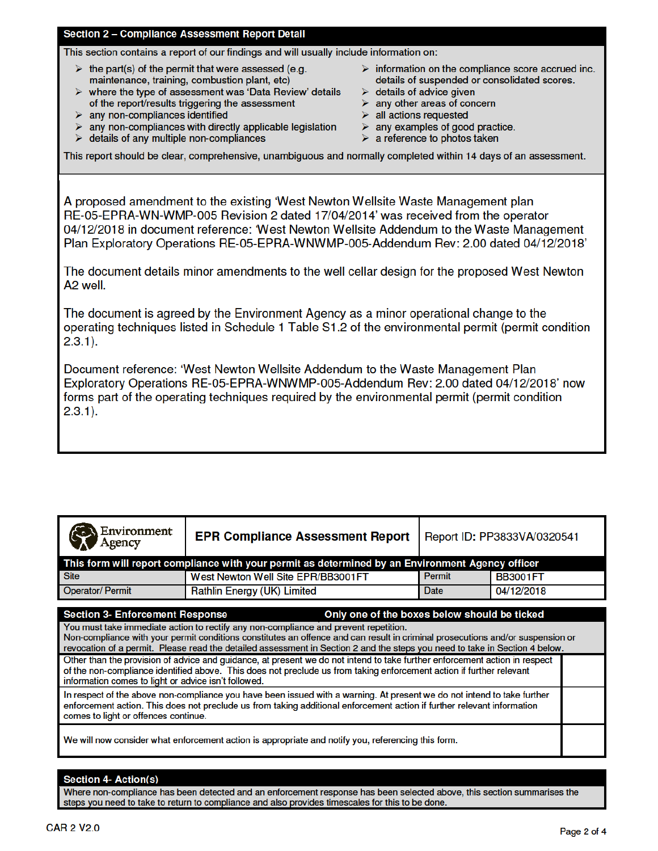### Section 2 - Compliance Assessment Report Detail

This section contains a report of our findings and will usually include information on:

- $\triangleright$  the part(s) of the permit that were assessed (e.g. maintenance, training, combustion plant, etc)
- $\triangleright$  where the type of assessment was 'Data Review' details of the report/results triggering the assessment
- $\triangleright$  any non-compliances identified
- $\triangleright$  any non-compliances with directly applicable legislation
- $\triangleright$  details of any multiple non-compliances
- $\triangleright$  information on the compliance score accrued inc. details of suspended or consolidated scores.
- $\triangleright$  details of advice given
- $\triangleright$  any other areas of concern
- $\triangleright$  all actions requested
- $\triangleright$  any examples of good practice.
- $\triangleright$  a reference to photos taken

This report should be clear, comprehensive, unambiguous and normally completed within 14 days of an assessment.

A proposed amendment to the existing 'West Newton Wellsite Waste Management plan RE-05-EPRA-WN-WMP-005 Revision 2 dated 17/04/2014' was received from the operator 04/12/2018 in document reference: 'West Newton Wellsite Addendum to the Waste Management Plan Exploratory Operations RE-05-EPRA-WNWMP-005-Addendum Rev: 2.00 dated 04/12/2018'

The document details minor amendments to the well cellar design for the proposed West Newton A<sub>2</sub> well.

The document is agreed by the Environment Agency as a minor operational change to the operating techniques listed in Schedule 1 Table S1.2 of the environmental permit (permit condition  $2.3.1$ ).

Document reference: 'West Newton Wellsite Addendum to the Waste Management Plan Exploratory Operations RE-05-EPRA-WNWMP-005-Addendum Rev: 2.00 dated 04/12/2018' now forms part of the operating techniques required by the environmental permit (permit condition  $2.3.1$ ).

| Environment<br>Agency                                                                                                                                                                                                                                                                                                                                                                                                                           | <b>EPR Compliance Assessment Report</b> | Report ID: PP3833VA/0320541      |            |  |  |  |
|-------------------------------------------------------------------------------------------------------------------------------------------------------------------------------------------------------------------------------------------------------------------------------------------------------------------------------------------------------------------------------------------------------------------------------------------------|-----------------------------------------|----------------------------------|------------|--|--|--|
| This form will report compliance with your permit as determined by an Environment Agency officer                                                                                                                                                                                                                                                                                                                                                |                                         |                                  |            |  |  |  |
| <b>Site</b>                                                                                                                                                                                                                                                                                                                                                                                                                                     | West Newton Well Site EPR/BB3001FT      | <b>Permit</b><br><b>BB3001FT</b> |            |  |  |  |
| <b>Operator/Permit</b>                                                                                                                                                                                                                                                                                                                                                                                                                          | <b>Rathlin Energy (UK) Limited</b>      | Date                             | 04/12/2018 |  |  |  |
| Only one of the boxes below should be ticked<br><b>Section 3- Enforcement Response</b><br>You must take immediate action to rectify any non-compliance and prevent repetition.<br>Non-compliance with your permit conditions constitutes an offence and can result in criminal prosecutions and/or suspension or<br>revocation of a permit. Please read the detailed assessment in Section 2 and the steps you need to take in Section 4 below. |                                         |                                  |            |  |  |  |
| Other than the provision of advice and guidance, at present we do not intend to take further enforcement action in respect<br>of the non-compliance identified above. This does not preclude us from taking enforcement action if further relevant<br>information comes to light or advice isn't followed.                                                                                                                                      |                                         |                                  |            |  |  |  |
| In respect of the above non-compliance you have been issued with a warning. At present we do not intend to take further<br>enforcement action. This does not preclude us from taking additional enforcement action if further relevant information<br>comes to light or offences continue.                                                                                                                                                      |                                         |                                  |            |  |  |  |
| We will now consider what enforcement action is appropriate and notify you, referencing this form.                                                                                                                                                                                                                                                                                                                                              |                                         |                                  |            |  |  |  |

### **Section 4- Action(s)**

Where non-compliance has been detected and an enforcement response has been selected above, this section summarises the steps you need to take to return to compliance and also provides timescales for this to be done.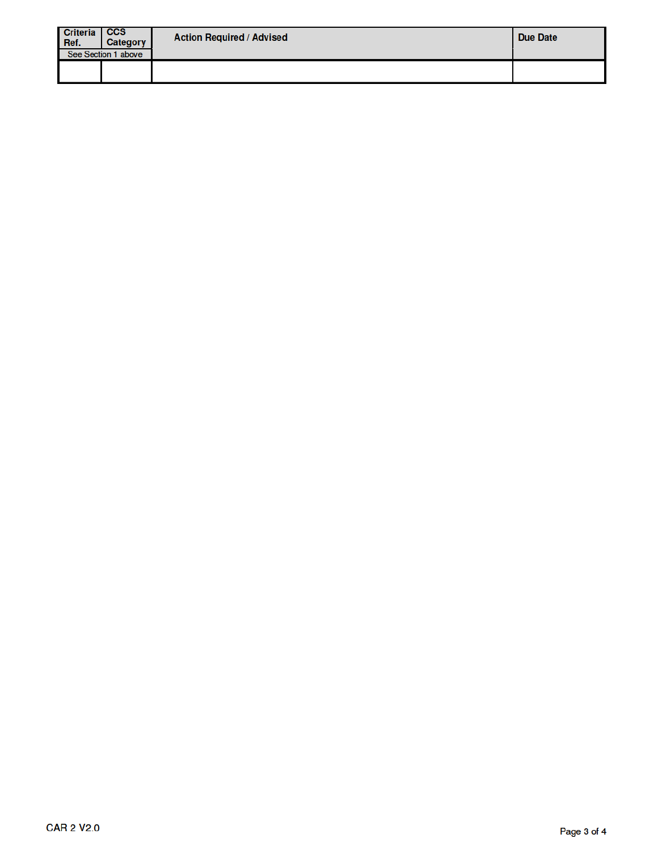| <b>Criteria</b><br>Ref. | $\overline{\phantom{a}}$ ccs<br>Category | <b>Action Required / Advised</b> | Due Date |
|-------------------------|------------------------------------------|----------------------------------|----------|
|                         | See Section 1 above                      |                                  |          |
|                         |                                          |                                  |          |